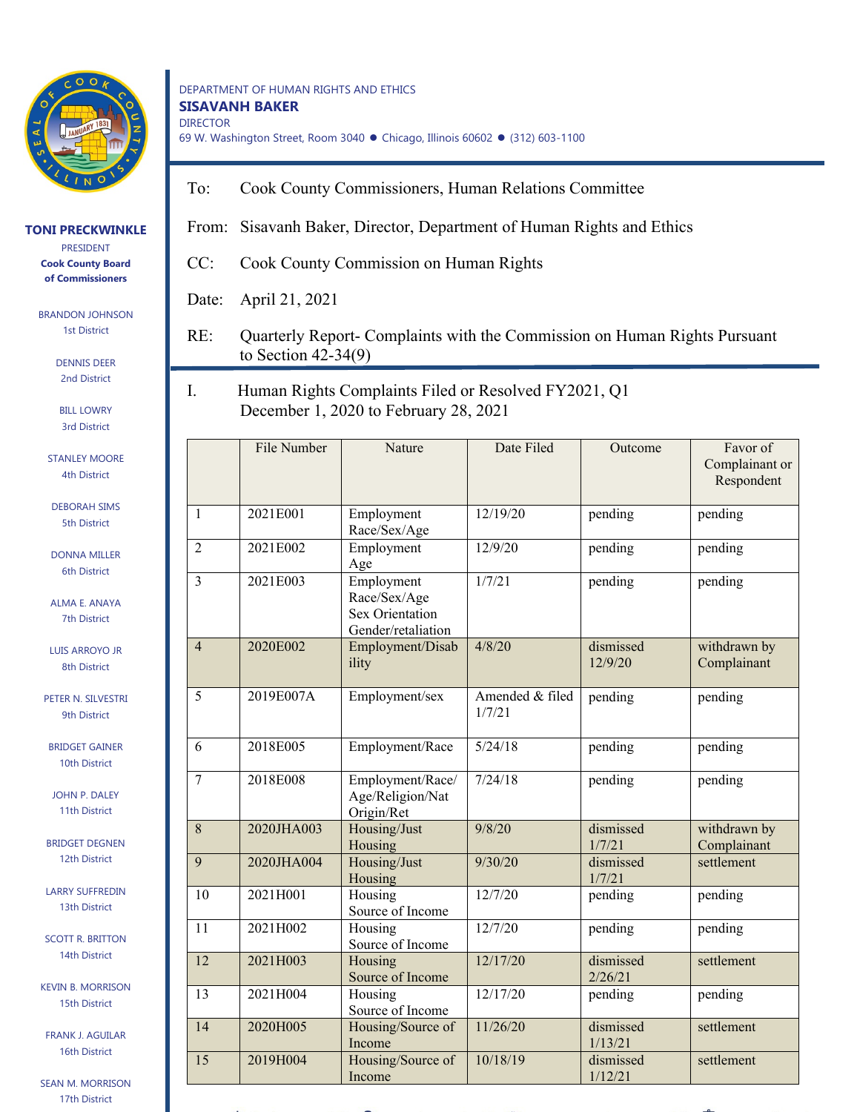

**TONI PRECKWINKLE** PRESIDENT **Cook County Board of Commissioners**

> BRANDON JOHNSON 1st District

## DEPARTMENT OF HUMAN RIGHTS AND ETHICS **SISAVANH BAKER** DIRECTOR 69 W. Washington Street, Room 3040 · Chicago, Illinois 60602 · (312) 603-1100

- To: Cook County Commissioners, Human Relations Committee
- From: Sisavanh Baker, Director, Department of Human Rights and Ethics
- CC: Cook County Commission on Human Rights

Date: April 21, 2021

- RE: Quarterly Report- Complaints with the Commission on Human Rights Pursuant to Section 42-34(9)
- I. Human Rights Complaints Filed or Resolved FY2021, Q1 December 1, 2020 to February 28, 2021

|                | File Number | Nature                                                              | Date Filed                | Outcome              | Favor of<br>Complainant or<br>Respondent |
|----------------|-------------|---------------------------------------------------------------------|---------------------------|----------------------|------------------------------------------|
| $\mathbf{1}$   | 2021E001    | Employment<br>Race/Sex/Age                                          | 12/19/20                  | pending              | pending                                  |
| $\overline{2}$ | 2021E002    | Employment<br>Age                                                   | 12/9/20                   | pending              | pending                                  |
| 3              | 2021E003    | Employment<br>Race/Sex/Age<br>Sex Orientation<br>Gender/retaliation | 1/7/21                    | pending              | pending                                  |
| $\overline{4}$ | 2020E002    | Employment/Disab<br>ility                                           | 4/8/20                    | dismissed<br>12/9/20 | withdrawn by<br>Complainant              |
| 5              | 2019E007A   | Employment/sex                                                      | Amended & filed<br>1/7/21 | pending              | pending                                  |
| 6              | 2018E005    | Employment/Race                                                     | 5/24/18                   | pending              | pending                                  |
| 7              | 2018E008    | Employment/Race/<br>Age/Religion/Nat<br>Origin/Ret                  | 7/24/18                   | pending              | pending                                  |
| 8              | 2020JHA003  | Housing/Just<br>Housing                                             | 9/8/20                    | dismissed<br>1/7/21  | withdrawn by<br>Complainant              |
| 9              | 2020JHA004  | Housing/Just<br>Housing                                             | 9/30/20                   | dismissed<br>1/7/21  | settlement                               |
| 10             | 2021H001    | Housing<br>Source of Income                                         | 12/7/20                   | pending              | pending                                  |
| 11             | 2021H002    | Housing<br>Source of Income                                         | 12/7/20                   | pending              | pending                                  |
| 12             | 2021H003    | Housing<br>Source of Income                                         | 12/17/20                  | dismissed<br>2/26/21 | settlement                               |
| 13             | 2021H004    | Housing<br>Source of Income                                         | 12/17/20                  | pending              | pending                                  |
| 14             | 2020H005    | Housing/Source of<br>Income                                         | 11/26/20                  | dismissed<br>1/13/21 | settlement                               |
| 15             | 2019H004    | Housing/Source of<br>Income                                         | 10/18/19                  | dismissed<br>1/12/21 | settlement                               |

2nd District BILL LOWRY

DENNIS DEER

3rd District

- STANLEY MOORE 4th District
- DEBORAH SIMS 5th District

DONNA MILLER 6th District

ALMA E. ANAYA 7th District

LUIS ARROYO JR 8th District

PETER N. SILVESTRI 9th District

BRIDGET GAINER 10th District

JOHN P. DALEY 11th District

BRIDGET DEGNEN 12th District

LARRY SUFFREDIN 13th District

SCOTT R. BRITTON 14th District

KEVIN B. MORRISON 15th District

FRANK J. AGUILAR 16th District

SEAN M. MORRISON 17th District